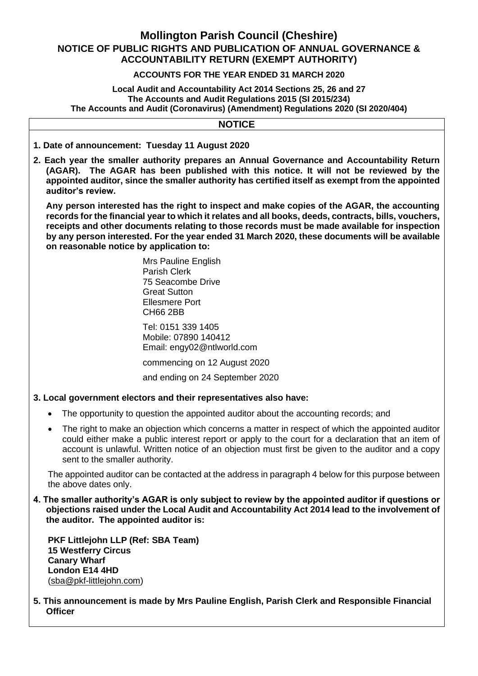# **Mollington Parish Council (Cheshire) NOTICE OF PUBLIC RIGHTS AND PUBLICATION OF ANNUAL GOVERNANCE & ACCOUNTABILITY RETURN (EXEMPT AUTHORITY)**

# **ACCOUNTS FOR THE YEAR ENDED 31 MARCH 2020**

### **Local Audit and Accountability Act 2014 Sections 25, 26 and 27 The Accounts and Audit Regulations 2015 (SI 2015/234) The Accounts and Audit (Coronavirus) (Amendment) Regulations 2020 (SI 2020/404)**

# **NOTICE**

- **1. Date of announcement: Tuesday 11 August 2020**
- **2. Each year the smaller authority prepares an Annual Governance and Accountability Return (AGAR). The AGAR has been published with this notice. It will not be reviewed by the appointed auditor, since the smaller authority has certified itself as exempt from the appointed auditor's review.**

**Any person interested has the right to inspect and make copies of the AGAR, the accounting records for the financial year to which it relates and all books, deeds, contracts, bills, vouchers, receipts and other documents relating to those records must be made available for inspection by any person interested. For the year ended 31 March 2020, these documents will be available on reasonable notice by application to:**

> Mrs Pauline English Parish Clerk 75 Seacombe Drive Great Sutton Ellesmere Port CH66 2BB

Tel: 0151 339 1405 Mobile: 07890 140412 Email: engy02@ntlworld.com

commencing on 12 August 2020

and ending on 24 September 2020

## **3. Local government electors and their representatives also have:**

- The opportunity to question the appointed auditor about the accounting records; and
- The right to make an objection which concerns a matter in respect of which the appointed auditor could either make a public interest report or apply to the court for a declaration that an item of account is unlawful. Written notice of an objection must first be given to the auditor and a copy sent to the smaller authority.

The appointed auditor can be contacted at the address in paragraph 4 below for this purpose between the above dates only.

**4. The smaller authority's AGAR is only subject to review by the appointed auditor if questions or objections raised under the Local Audit and Accountability Act 2014 lead to the involvement of the auditor. The appointed auditor is:**

**PKF Littlejohn LLP (Ref: SBA Team) 15 Westferry Circus Canary Wharf London E14 4HD** [\(sba@pkf-littlejohn.com\)](mailto:sba@pkf-littlejohn.com)

**5. This announcement is made by Mrs Pauline English, Parish Clerk and Responsible Financial Officer**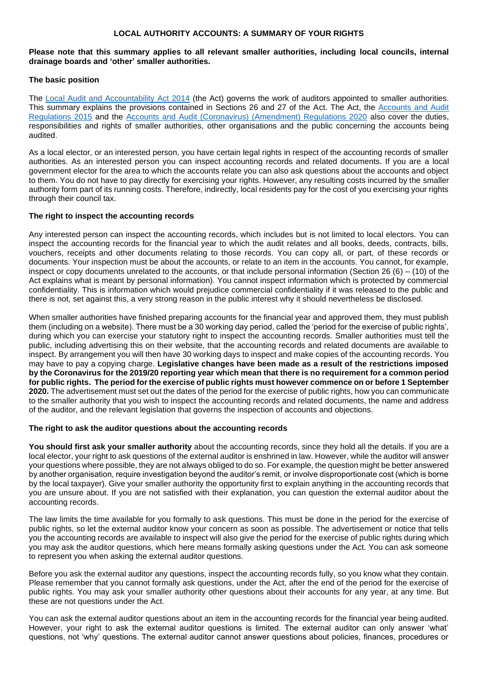#### **LOCAL AUTHORITY ACCOUNTS: A SUMMARY OF YOUR RIGHTS**

#### **Please note that this summary applies to all relevant smaller authorities, including local councils, internal drainage boards and 'other' smaller authorities.**

### **The basic position**

The [Local Audit and Accountability Act 2014](http://www.legislation.gov.uk/ukpga/2014/2/contents) (the Act) governs the work of auditors appointed to smaller authorities. This summary explains the provisions contained in Sections 26 and 27 of the Act. The Act, the [Accounts and Audit](http://www.legislation.gov.uk/uksi/2015/234/contents/made)  [Regulations 2015](http://www.legislation.gov.uk/uksi/2015/234/contents/made) and the [Accounts and Audit \(Coronavirus\) \(Amendment\) Regulations 2020](http://www.legislation.gov.uk/uksi/2020/404/contents/made) also cover the duties, responsibilities and rights of smaller authorities, other organisations and the public concerning the accounts being audited.

As a local elector, or an interested person, you have certain legal rights in respect of the accounting records of smaller authorities. As an interested person you can inspect accounting records and related documents. If you are a local government elector for the area to which the accounts relate you can also ask questions about the accounts and object to them. You do not have to pay directly for exercising your rights. However, any resulting costs incurred by the smaller authority form part of its running costs. Therefore, indirectly, local residents pay for the cost of you exercising your rights through their council tax.

#### **The right to inspect the accounting records**

Any interested person can inspect the accounting records, which includes but is not limited to local electors. You can inspect the accounting records for the financial year to which the audit relates and all books, deeds, contracts, bills, vouchers, receipts and other documents relating to those records. You can copy all, or part, of these records or documents. Your inspection must be about the accounts, or relate to an item in the accounts. You cannot, for example, inspect or copy documents unrelated to the accounts, or that include personal information (Section 26 (6) – (10) of the Act explains what is meant by personal information). You cannot inspect information which is protected by commercial confidentiality. This is information which would prejudice commercial confidentiality if it was released to the public and there is not, set against this, a very strong reason in the public interest why it should nevertheless be disclosed.

When smaller authorities have finished preparing accounts for the financial year and approved them, they must publish them (including on a website). There must be a 30 working day period, called the 'period for the exercise of public rights', during which you can exercise your statutory right to inspect the accounting records. Smaller authorities must tell the public, including advertising this on their website, that the accounting records and related documents are available to inspect. By arrangement you will then have 30 working days to inspect and make copies of the accounting records. You may have to pay a copying charge. **Legislative changes have been made as a result of the restrictions imposed by the Coronavirus for the 2019/20 reporting year which mean that there is no requirement for a common period for public rights. The period for the exercise of public rights must however commence on or before 1 September 2020.** The advertisement must set out the dates of the period for the exercise of public rights, how you can communicate to the smaller authority that you wish to inspect the accounting records and related documents, the name and address of the auditor, and the relevant legislation that governs the inspection of accounts and objections.

#### **The right to ask the auditor questions about the accounting records**

**You should first ask your smaller authority** about the accounting records, since they hold all the details. If you are a local elector, your right to ask questions of the external auditor is enshrined in law. However, while the auditor will answer your questions where possible, they are not always obliged to do so. For example, the question might be better answered by another organisation, require investigation beyond the auditor's remit, or involve disproportionate cost (which is borne by the local taxpayer). Give your smaller authority the opportunity first to explain anything in the accounting records that you are unsure about. If you are not satisfied with their explanation, you can question the external auditor about the accounting records.

The law limits the time available for you formally to ask questions. This must be done in the period for the exercise of public rights, so let the external auditor know your concern as soon as possible. The advertisement or notice that tells you the accounting records are available to inspect will also give the period for the exercise of public rights during which you may ask the auditor questions, which here means formally asking questions under the Act. You can ask someone to represent you when asking the external auditor questions.

Before you ask the external auditor any questions, inspect the accounting records fully, so you know what they contain. Please remember that you cannot formally ask questions, under the Act, after the end of the period for the exercise of public rights. You may ask your smaller authority other questions about their accounts for any year, at any time. But these are not questions under the Act.

You can ask the external auditor questions about an item in the accounting records for the financial year being audited. However, your right to ask the external auditor questions is limited. The external auditor can only answer 'what' questions, not 'why' questions. The external auditor cannot answer questions about policies, finances, procedures or